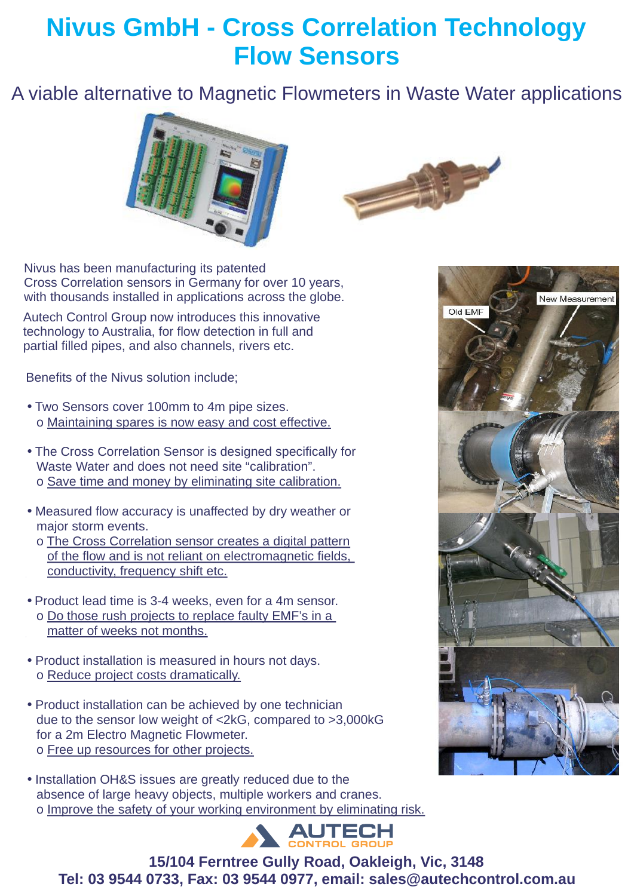## **Nivus GmbH - Cross Correlation Technology Flow Sensors**

#### A viable alternative to Magnetic Flowmeters in Waste Water applications





Nivus has been manufacturing its patented Cross Correlation sensors in Germany for over 10 years, with thousands installed in applications across the globe.

Autech Control Group now introduces this innovative technology to Australia, for flow detection in full and partial filled pipes, and also channels, rivers etc.

Benefits of the Nivus solution include;

- Two Sensors cover 100mm to 4m pipe sizes. o Maintaining spares is now easy and cost effective.
- The Cross Correlation Sensor is designed specifically for Waste Water and does not need site "calibration". o Save time and money by eliminating site calibration.
- Measured flow accuracy is unaffected by dry weather or major storm events.
	- o The Cross Correlation sensor creates a digital pattern of the flow and is not reliant on electromagnetic fields, conductivity, frequency shift etc.
- Product lead time is 3-4 weeks, even for a 4m sensor. o Do those rush projects to replace faulty EMF's in a matter of weeks not months.
- Product installation is measured in hours not days. o Reduce project costs dramatically.
- Product installation can be achieved by one technician due to the sensor low weight of <2kG, compared to >3,000kG for a 2m Electro Magnetic Flowmeter. o Free up resources for other projects.
- Installation OH&S issues are greatly reduced due to the absence of large heavy objects, multiple workers and cranes. o Improve the safety of your working environment by eliminating risk.



**Tel: 03 9544 0733, Fax: 03 9544 0977, email: sales@autechcontrol.com.au 15/104 Ferntree Gully Road, Oakleigh, Vic, 3148**